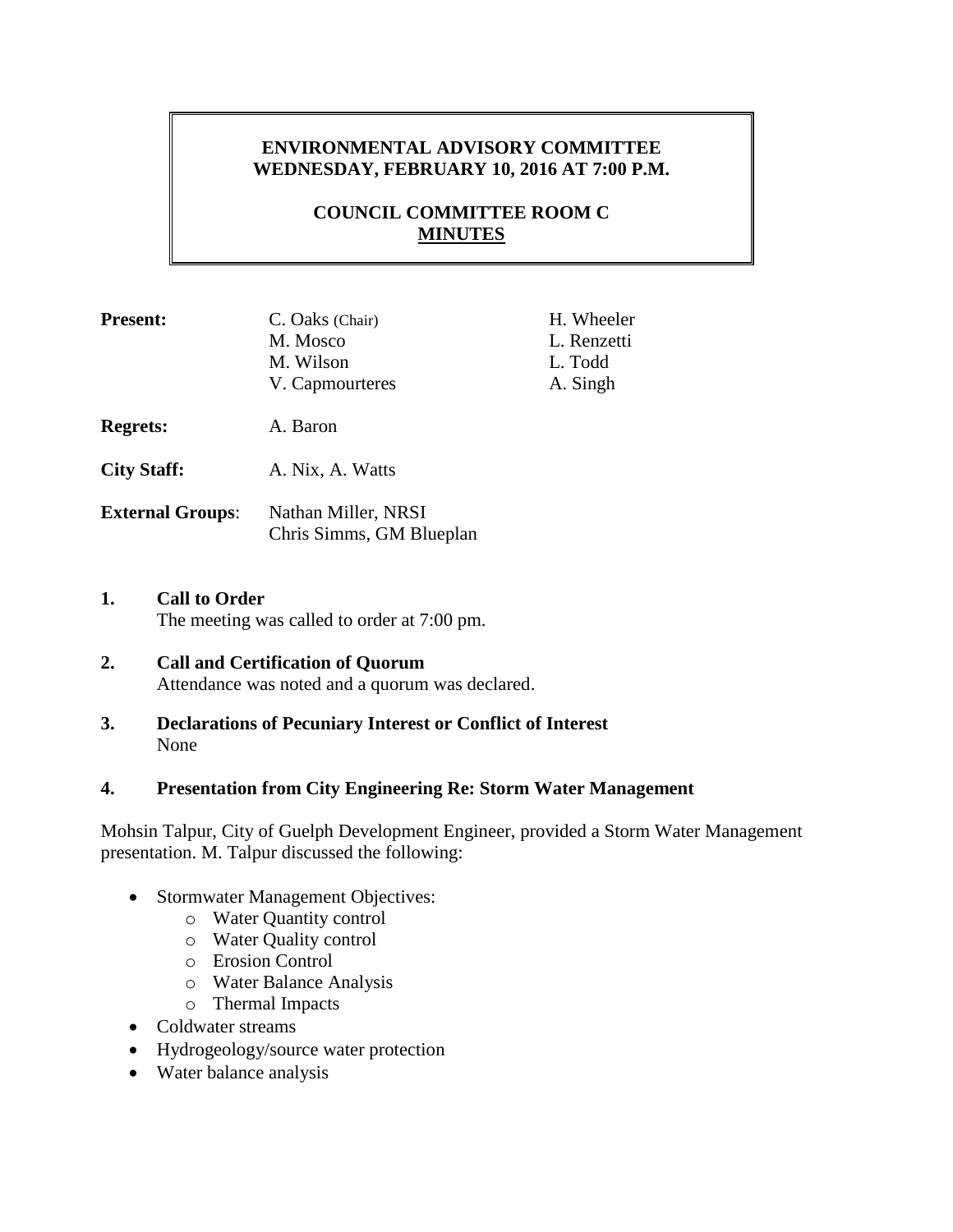## **ENVIRONMENTAL ADVISORY COMMITTEE WEDNESDAY, FEBRUARY 10, 2016 AT 7:00 P.M.**

# **COUNCIL COMMITTEE ROOM C MINUTES**

| <b>Present:</b>         | C. Oaks (Chair)<br>M. Mosco<br>M. Wilson<br>V. Capmourteres | H. Wheeler<br>L. Renzetti<br>L. Todd<br>A. Singh |
|-------------------------|-------------------------------------------------------------|--------------------------------------------------|
| <b>Regrets:</b>         | A. Baron                                                    |                                                  |
| <b>City Staff:</b>      | A. Nix, A. Watts                                            |                                                  |
| <b>External Groups:</b> | Nathan Miller, NRSI<br>Chris Simms, GM Blueplan             |                                                  |

**1. Call to Order** The meeting was called to order at 7:00 pm.

#### **2. Call and Certification of Quorum** Attendance was noted and a quorum was declared.

**3. Declarations of Pecuniary Interest or Conflict of Interest** None

### **4. Presentation from City Engineering Re: Storm Water Management**

Mohsin Talpur, City of Guelph Development Engineer, provided a Storm Water Management presentation. M. Talpur discussed the following:

- Stormwater Management Objectives:
	- o Water Quantity control
		- o Water Quality control
		- o Erosion Control
		- o Water Balance Analysis
		- o Thermal Impacts
- Coldwater streams
- Hydrogeology/source water protection
- Water balance analysis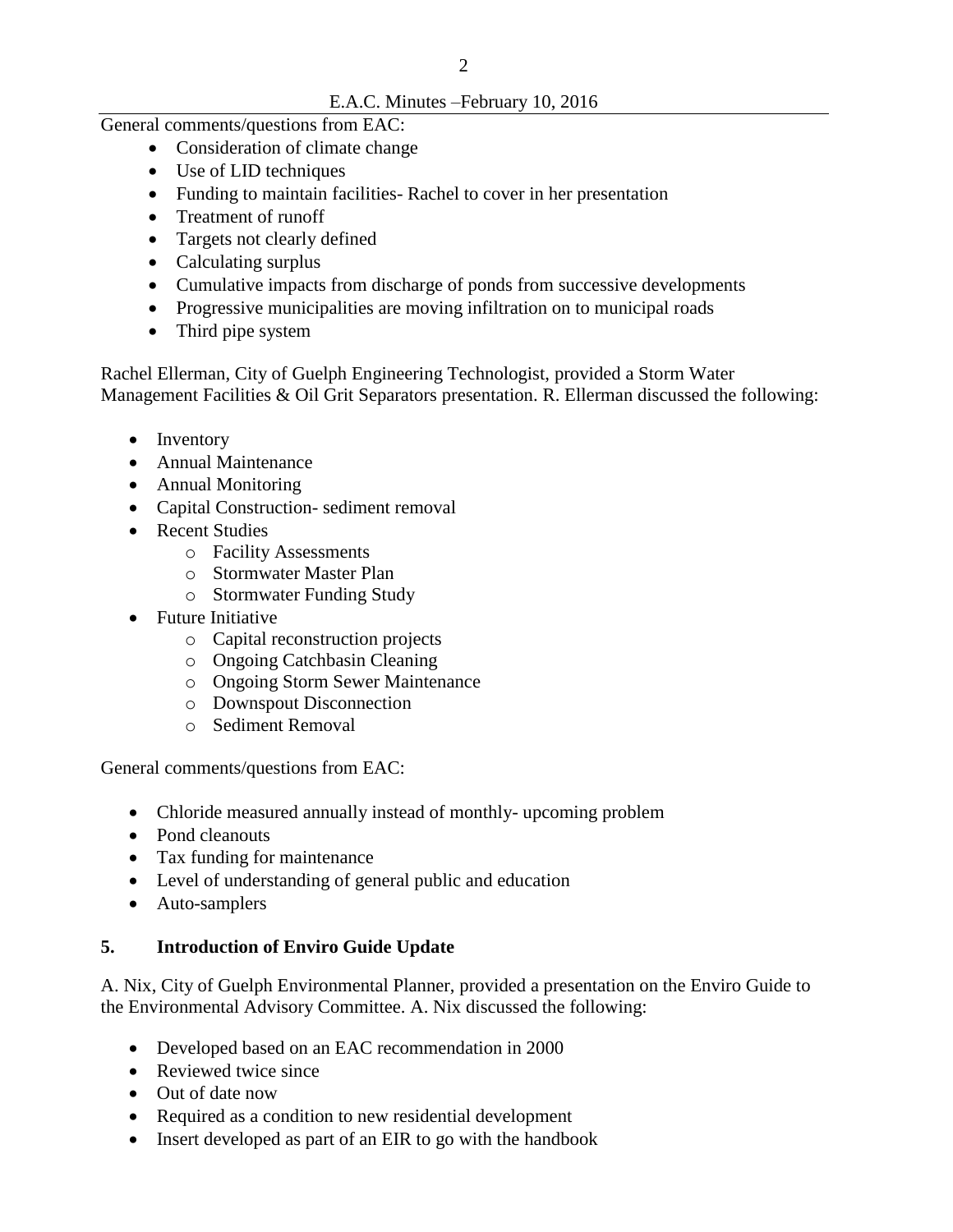## E.A.C. Minutes –February 10, 2016

General comments/questions from EAC:

- Consideration of climate change
- Use of LID techniques
- Funding to maintain facilities-Rachel to cover in her presentation
- Treatment of runoff
- Targets not clearly defined
- Calculating surplus
- Cumulative impacts from discharge of ponds from successive developments
- Progressive municipalities are moving infiltration on to municipal roads
- Third pipe system

Rachel Ellerman, City of Guelph Engineering Technologist, provided a Storm Water Management Facilities & Oil Grit Separators presentation. R. Ellerman discussed the following:

- Inventory
- Annual Maintenance
- Annual Monitoring
- Capital Construction- sediment removal
- Recent Studies
	- o Facility Assessments
	- o Stormwater Master Plan
	- o Stormwater Funding Study
- Future Initiative
	- o Capital reconstruction projects
	- o Ongoing Catchbasin Cleaning
	- o Ongoing Storm Sewer Maintenance
	- o Downspout Disconnection
	- o Sediment Removal

General comments/questions from EAC:

- Chloride measured annually instead of monthly- upcoming problem
- Pond cleanouts
- Tax funding for maintenance
- Level of understanding of general public and education
- Auto-samplers

## **5. Introduction of Enviro Guide Update**

A. Nix, City of Guelph Environmental Planner, provided a presentation on the Enviro Guide to the Environmental Advisory Committee. A. Nix discussed the following:

- Developed based on an EAC recommendation in 2000
- Reviewed twice since
- Out of date now
- Required as a condition to new residential development
- Insert developed as part of an EIR to go with the handbook